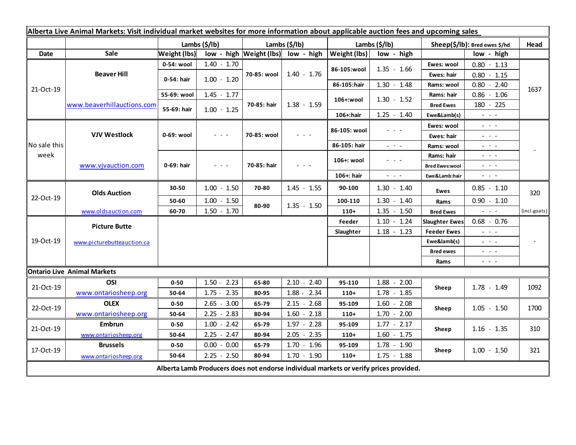| Alberta Live Animal Markets: Visit individual market websites for more information about applicable auction fees and upcoming sales |                            |                           |                                                                                                                        |                           |                                                            |                       |                         |                               |                                                                                                                                                                                                                                                                                                                                                                                                                                                |              |
|-------------------------------------------------------------------------------------------------------------------------------------|----------------------------|---------------------------|------------------------------------------------------------------------------------------------------------------------|---------------------------|------------------------------------------------------------|-----------------------|-------------------------|-------------------------------|------------------------------------------------------------------------------------------------------------------------------------------------------------------------------------------------------------------------------------------------------------------------------------------------------------------------------------------------------------------------------------------------------------------------------------------------|--------------|
|                                                                                                                                     |                            | Lambs $(\frac{2}{3})$ lb) |                                                                                                                        | Lambs $(\frac{2}{3})$ lb) |                                                            | Lambs $(\frac{2}{3})$ |                         | Sheep(\$/lb): Bred ewes \$/hd |                                                                                                                                                                                                                                                                                                                                                                                                                                                | Head         |
| <b>Date</b>                                                                                                                         | Sale                       | <b>Weight (lbs)</b>       |                                                                                                                        |                           | $\vert$ low - high $\vert$ Weight (lbs) $\vert$ low - high | Weight (lbs)          | low - high              |                               | low - high                                                                                                                                                                                                                                                                                                                                                                                                                                     |              |
| 21-Oct-19                                                                                                                           | <b>Beaver Hill</b>         | 0-54: wool                | $1.40 - 1.70$                                                                                                          | 70-85: wool               | $1.40 - 1.76$                                              | 86-105:wool           | $1.35 - 1.66$           | Ewes: wool                    | $0.80 - 1.13$                                                                                                                                                                                                                                                                                                                                                                                                                                  |              |
|                                                                                                                                     |                            | 0-54: hair                | $1.00 - 1.20$                                                                                                          |                           |                                                            |                       |                         | Ewes: hair                    | $0.80 - 1.15$                                                                                                                                                                                                                                                                                                                                                                                                                                  |              |
|                                                                                                                                     |                            |                           |                                                                                                                        |                           |                                                            | 86-105:hair           | $1.30 - 1.48$           | Rams: wool                    | $0.80 - 2.40$                                                                                                                                                                                                                                                                                                                                                                                                                                  | 1637         |
|                                                                                                                                     | www.beaverhillauctions.com | 55-69: wool               | $1.45 - 1.77$                                                                                                          | 70-85: hair               | $1.38 - 1.59$                                              | 106+:wool             | $1.30 - 1.52$           | Rams: hair                    | $0.86 - 1.06$                                                                                                                                                                                                                                                                                                                                                                                                                                  |              |
|                                                                                                                                     |                            | 55-69: hair               | $1.00 - 1.25$                                                                                                          |                           |                                                            |                       |                         | <b>Bred Ewes</b>              | 180 - 225                                                                                                                                                                                                                                                                                                                                                                                                                                      |              |
|                                                                                                                                     |                            |                           |                                                                                                                        |                           |                                                            | 106+:hair             | $1.25 - 1.40$           | Ewe&Lamb(s)                   | $\omega_{\rm{max}}$ and $\omega_{\rm{max}}$                                                                                                                                                                                                                                                                                                                                                                                                    |              |
| No sale this<br>week                                                                                                                | <b>VJV Westlock</b>        | 0-69: wool                | $\frac{1}{2} \left( \frac{1}{2} \right) \frac{1}{2} \left( \frac{1}{2} \right) \frac{1}{2} \left( \frac{1}{2} \right)$ | 70-85: wool               | - - -                                                      | 86-105: wool          | - - -                   | Ewes: wool                    | $  -$                                                                                                                                                                                                                                                                                                                                                                                                                                          |              |
|                                                                                                                                     |                            |                           |                                                                                                                        |                           |                                                            |                       |                         | Ewes: hair                    | $\omega_{\rm{eff}}=0.1$                                                                                                                                                                                                                                                                                                                                                                                                                        |              |
|                                                                                                                                     |                            |                           |                                                                                                                        |                           |                                                            | 86-105: hair          | $\omega_{\rm{eff}}=0.1$ | Rams: wool                    | $\frac{1}{2} \left( \frac{1}{2} \right) \frac{1}{2} \left( \frac{1}{2} \right) \frac{1}{2} \left( \frac{1}{2} \right) \frac{1}{2} \left( \frac{1}{2} \right) \frac{1}{2} \left( \frac{1}{2} \right) \frac{1}{2} \left( \frac{1}{2} \right) \frac{1}{2} \left( \frac{1}{2} \right) \frac{1}{2} \left( \frac{1}{2} \right) \frac{1}{2} \left( \frac{1}{2} \right) \frac{1}{2} \left( \frac{1}{2} \right) \frac{1}{2} \left( \frac{1}{2} \right)$ |              |
|                                                                                                                                     | www.vjvauction.com         | 0-69: hair                | $\frac{1}{2} \left( \frac{1}{2} \right) \frac{1}{2} \left( \frac{1}{2} \right) \frac{1}{2} \left( \frac{1}{2} \right)$ | 70-85: hair               | $  -$                                                      | 106+: wool            | - - -                   | Rams: hair                    | $\frac{1}{2} \left( \frac{1}{2} \right) \frac{1}{2} \left( \frac{1}{2} \right) \frac{1}{2} \left( \frac{1}{2} \right) \frac{1}{2} \left( \frac{1}{2} \right) \frac{1}{2} \left( \frac{1}{2} \right) \frac{1}{2} \left( \frac{1}{2} \right) \frac{1}{2} \left( \frac{1}{2} \right) \frac{1}{2} \left( \frac{1}{2} \right) \frac{1}{2} \left( \frac{1}{2} \right) \frac{1}{2} \left( \frac{1}{2} \right) \frac{1}{2} \left( \frac{1}{2} \right)$ |              |
|                                                                                                                                     |                            |                           |                                                                                                                        |                           |                                                            |                       |                         | <b>Bred Ewes:wool</b>         | $\frac{1}{2} \left( \frac{1}{2} \right) \left( \frac{1}{2} \right) \left( \frac{1}{2} \right) \left( \frac{1}{2} \right) \left( \frac{1}{2} \right)$                                                                                                                                                                                                                                                                                           |              |
|                                                                                                                                     |                            |                           |                                                                                                                        |                           |                                                            | 106+: hair            | $\sim$ 10 $\sim$        | Ewe&Lamb:hair                 | $ -$                                                                                                                                                                                                                                                                                                                                                                                                                                           |              |
| 22-Oct-19                                                                                                                           | <b>Olds Auction</b>        | 30-50                     | $1.00 - 1.50$                                                                                                          | 70-80                     | $1.45 - 1.55$                                              | 90-100                | $1.30 - 1.40$           | <b>Ewes</b>                   | $0.85 - 1.10$                                                                                                                                                                                                                                                                                                                                                                                                                                  | 320          |
|                                                                                                                                     |                            | 50-60                     | $1.00 - 1.50$                                                                                                          | 80-90                     | $1.35 - 1.50$                                              | 100-110               | $1.30 - 1.40$           | Rams                          | $0.90 - 1.10$                                                                                                                                                                                                                                                                                                                                                                                                                                  |              |
|                                                                                                                                     | www.oldsauction.com        | 60-70                     | $1.50 - 1.70$                                                                                                          |                           |                                                            | $110+$                | $1.35 - 1.50$           | <b>Bred Ewes</b>              | $\omega_{\rm{eff}}$ and $\omega_{\rm{eff}}$                                                                                                                                                                                                                                                                                                                                                                                                    | (incl.goats) |
| 19-Oct-19                                                                                                                           | <b>Picture Butte</b>       |                           |                                                                                                                        |                           |                                                            | Feeder                | $1.10 - 1.24$           | <b>Slaughter Ewes</b>         | $0.68 - 0.76$                                                                                                                                                                                                                                                                                                                                                                                                                                  |              |
|                                                                                                                                     | www.picturebutteauction.ca |                           |                                                                                                                        |                           |                                                            | Slaughter             | $1.18 - 1.23$           | <b>Feeder Ewes</b>            | $\frac{1}{2} \left( \frac{1}{2} \right) \left( \frac{1}{2} \right) \left( \frac{1}{2} \right) \left( \frac{1}{2} \right)$                                                                                                                                                                                                                                                                                                                      |              |
|                                                                                                                                     |                            |                           |                                                                                                                        |                           |                                                            |                       |                         | Ewe&lamb(s)                   | $  -$                                                                                                                                                                                                                                                                                                                                                                                                                                          |              |
|                                                                                                                                     |                            |                           |                                                                                                                        |                           |                                                            |                       |                         | <b>Bred ewes</b>              | $\sim$ 100 $\sim$                                                                                                                                                                                                                                                                                                                                                                                                                              |              |
|                                                                                                                                     |                            |                           |                                                                                                                        |                           |                                                            |                       |                         | Rams                          | $\sim$ $ -$                                                                                                                                                                                                                                                                                                                                                                                                                                    |              |
| <b>Ontario Live Animal Markets</b>                                                                                                  |                            |                           |                                                                                                                        |                           |                                                            |                       |                         |                               |                                                                                                                                                                                                                                                                                                                                                                                                                                                |              |
| 21-Oct-19                                                                                                                           | OSI                        | $0 - 50$                  | $1.50 - 2.23$                                                                                                          | 65-80                     | $2.10 - 2.40$                                              | 95-110                | $1.88 - 2.00$           | Sheep                         | $1.78 - 1.49$                                                                                                                                                                                                                                                                                                                                                                                                                                  | 1092         |
|                                                                                                                                     | www.ontariosheep.org       | 50-64                     | $1.75 - 2.35$                                                                                                          | 80-95                     | $1.88 - 2.34$                                              | $110+$                | $1.78 - 1.85$           |                               |                                                                                                                                                                                                                                                                                                                                                                                                                                                |              |
| 22-Oct-19                                                                                                                           | <b>OLEX</b>                | $0 - 50$                  | $2.65 - 3.00$                                                                                                          | 65-79                     | $2.15 - 2.68$                                              | 95-109                | $1.60 - 2.08$           | Sheep                         | $1.05 - 1.50$                                                                                                                                                                                                                                                                                                                                                                                                                                  | 1700         |
|                                                                                                                                     | www.ontariosheep.org       | 50-64                     | $2.25 - 2.83$                                                                                                          | 80-94                     | $1.60 - 2.18$                                              | $110+$                | $1.70 - 2.00$           |                               |                                                                                                                                                                                                                                                                                                                                                                                                                                                |              |
| 21-Oct-19                                                                                                                           | <b>Embrun</b>              | $0 - 50$                  | $1.00 - 2.42$                                                                                                          | 65-79                     | $1.97 - 2.28$                                              | 95-109                | $1.77 - 2.17$           | Sheep                         | $1.16 - 1.35$                                                                                                                                                                                                                                                                                                                                                                                                                                  | 310          |
|                                                                                                                                     | www.ontariosheep.org       | 50-64                     | $2.25 - 2.47$                                                                                                          | 80-94                     | $2.05 - 2.35$                                              | $110+$                | $1.60 - 1.75$           |                               |                                                                                                                                                                                                                                                                                                                                                                                                                                                |              |
| 17-Oct-19                                                                                                                           | <b>Brussels</b>            | $0 - 50$                  | $0.00 - 0.00$                                                                                                          | 65-79                     | $1.70 - 1.96$                                              | 95-109                | $1.78 - 1.90$           | Sheep                         | $1.00 - 1.50$                                                                                                                                                                                                                                                                                                                                                                                                                                  | 321          |
|                                                                                                                                     | www.ontariosheep.org       | 50-64                     | $2.25 - 2.50$                                                                                                          | 80-94                     | $1.70 - 1.90$                                              | $110+$                | $1.75 - 1.88$           |                               |                                                                                                                                                                                                                                                                                                                                                                                                                                                |              |
| Alberta Lamb Producers does not endorse individual markets or verify prices provided.                                               |                            |                           |                                                                                                                        |                           |                                                            |                       |                         |                               |                                                                                                                                                                                                                                                                                                                                                                                                                                                |              |